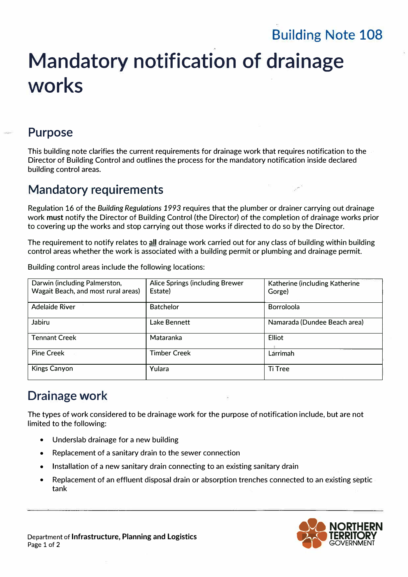## **Building Note 108**

# **Mandatory notification of drainage works**

### **Purpose**

This building note clarifies the current requirements for drainage work that requires notification to the Director of Building Control and outlines the process for the mandatory notification inside declared building control areas.

## **Mandatory requirements**

Regulation 16 of the *Building Regulations* 1993 requires that the plumber or drainer carrying out drainage work **must** notify the Director of Building Control (the Director) of the completion of drainage works prior to covering up the works and stop carrying out those works if directed to do so by the Director.

The requirement to notify relates to **all** drainage work carried out for any class of building within building control areas whether the work is associated with a building permit or plumbing and drainage permit.

| Darwin (including Palmerston,<br>Wagait Beach, and most rural areas) | <b>Alice Springs (including Brewer</b><br>Estate) | Katherine (including Katherine<br>Gorge) |
|----------------------------------------------------------------------|---------------------------------------------------|------------------------------------------|
| <b>Adelaide River</b>                                                | <b>Batchelor</b>                                  | <b>Borroloola</b>                        |
| Jabiru                                                               | Lake Bennett                                      | Namarada (Dundee Beach area)             |
| <b>Tennant Creek</b>                                                 | Mataranka                                         | <b>Elliot</b>                            |
| <b>Pine Creek</b>                                                    | <b>Timber Creek</b>                               | Larrimah                                 |
| <b>Kings Canyon</b>                                                  | Yulara                                            | <b>Ti Tree</b>                           |

Building control areas include the following locations:

## **Drainage work**

The types of work considered to be drainage work for the purpose of notification include, but are not limited to the following:

- Underslab drainage for a new building
- Replacement of a sanitary drain to the sewer connection
- Installation of a new sanitary drain connecting to an existing sanitary drain
- Replacement of an effluent disposal drain or absorption trenches connected to an existing septic tank